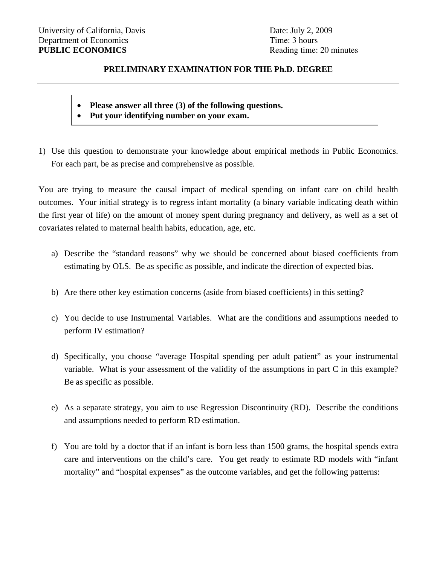## **PRELIMINARY EXAMINATION FOR THE Ph.D. DEGREE**

## **Please answer all three (3) of the following questions.**

- **Put your identifying number on your exam.**
- 1) Use this question to demonstrate your knowledge about empirical methods in Public Economics. For each part, be as precise and comprehensive as possible.

You are trying to measure the causal impact of medical spending on infant care on child health outcomes. Your initial strategy is to regress infant mortality (a binary variable indicating death within the first year of life) on the amount of money spent during pregnancy and delivery, as well as a set of covariates related to maternal health habits, education, age, etc.

- a) Describe the "standard reasons" why we should be concerned about biased coefficients from estimating by OLS. Be as specific as possible, and indicate the direction of expected bias.
- b) Are there other key estimation concerns (aside from biased coefficients) in this setting?
- c) You decide to use Instrumental Variables. What are the conditions and assumptions needed to perform IV estimation?
- d) Specifically, you choose "average Hospital spending per adult patient" as your instrumental variable. What is your assessment of the validity of the assumptions in part C in this example? Be as specific as possible.
- e) As a separate strategy, you aim to use Regression Discontinuity (RD). Describe the conditions and assumptions needed to perform RD estimation.
- f) You are told by a doctor that if an infant is born less than 1500 grams, the hospital spends extra care and interventions on the child's care. You get ready to estimate RD models with "infant mortality" and "hospital expenses" as the outcome variables, and get the following patterns: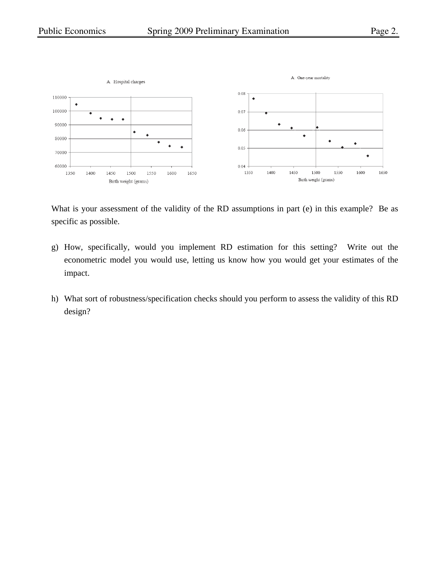



What is your assessment of the validity of the RD assumptions in part (e) in this example? Be as specific as possible.

- g) How, specifically, would you implement RD estimation for this setting? Write out the econometric model you would use, letting us know how you would get your estimates of the impact.
- h) What sort of robustness/specification checks should you perform to assess the validity of this RD design?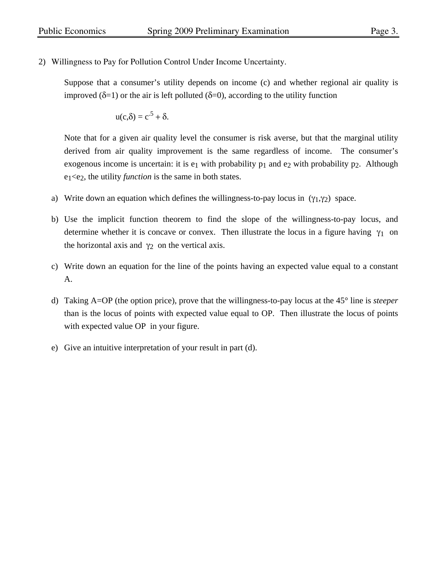2) Willingness to Pay for Pollution Control Under Income Uncertainty.

Suppose that a consumer's utility depends on income (c) and whether regional air quality is improved  $(\delta=1)$  or the air is left polluted  $(\delta=0)$ , according to the utility function

$$
u(c,\delta) = c^{.5} + \delta.
$$

Note that for a given air quality level the consumer is risk averse, but that the marginal utility derived from air quality improvement is the same regardless of income. The consumer's exogenous income is uncertain: it is  $e_1$  with probability  $p_1$  and  $e_2$  with probability  $p_2$ . Although  $e_1 \leq e_2$ , the utility *function* is the same in both states.

- a) Write down an equation which defines the willingness-to-pay locus in  $(\gamma_1, \gamma_2)$  space.
- b) Use the implicit function theorem to find the slope of the willingness-to-pay locus, and determine whether it is concave or convex. Then illustrate the locus in a figure having  $\gamma_1$  on the horizontal axis and  $\gamma_2$  on the vertical axis.
- c) Write down an equation for the line of the points having an expected value equal to a constant A.
- d) Taking A=OP (the option price), prove that the willingness-to-pay locus at the 45° line is *steeper* than is the locus of points with expected value equal to OP. Then illustrate the locus of points with expected value OP in your figure.
- e) Give an intuitive interpretation of your result in part (d).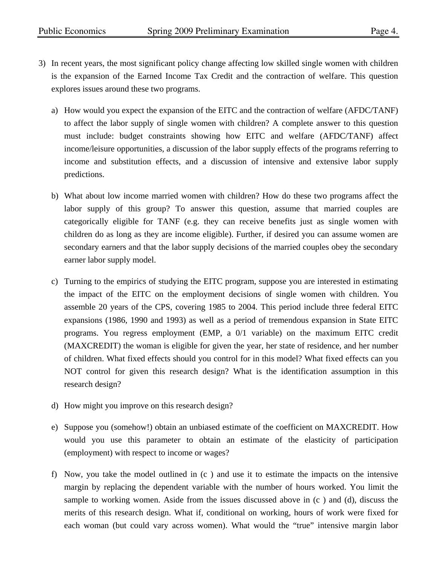- 3) In recent years, the most significant policy change affecting low skilled single women with children is the expansion of the Earned Income Tax Credit and the contraction of welfare. This question explores issues around these two programs.
	- a) How would you expect the expansion of the EITC and the contraction of welfare (AFDC/TANF) to affect the labor supply of single women with children? A complete answer to this question must include: budget constraints showing how EITC and welfare (AFDC/TANF) affect income/leisure opportunities, a discussion of the labor supply effects of the programs referring to income and substitution effects, and a discussion of intensive and extensive labor supply predictions.
	- b) What about low income married women with children? How do these two programs affect the labor supply of this group? To answer this question, assume that married couples are categorically eligible for TANF (e.g. they can receive benefits just as single women with children do as long as they are income eligible). Further, if desired you can assume women are secondary earners and that the labor supply decisions of the married couples obey the secondary earner labor supply model.
	- c) Turning to the empirics of studying the EITC program, suppose you are interested in estimating the impact of the EITC on the employment decisions of single women with children. You assemble 20 years of the CPS, covering 1985 to 2004. This period include three federal EITC expansions (1986, 1990 and 1993) as well as a period of tremendous expansion in State EITC programs. You regress employment (EMP, a 0/1 variable) on the maximum EITC credit (MAXCREDIT) the woman is eligible for given the year, her state of residence, and her number of children. What fixed effects should you control for in this model? What fixed effects can you NOT control for given this research design? What is the identification assumption in this research design?
	- d) How might you improve on this research design?
	- e) Suppose you (somehow!) obtain an unbiased estimate of the coefficient on MAXCREDIT. How would you use this parameter to obtain an estimate of the elasticity of participation (employment) with respect to income or wages?
	- f) Now, you take the model outlined in (c ) and use it to estimate the impacts on the intensive margin by replacing the dependent variable with the number of hours worked. You limit the sample to working women. Aside from the issues discussed above in (c ) and (d), discuss the merits of this research design. What if, conditional on working, hours of work were fixed for each woman (but could vary across women). What would the "true" intensive margin labor